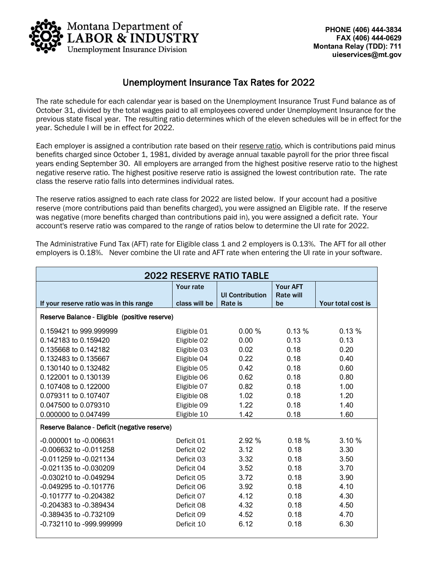

# Unemployment Insurance Tax Rates for 2022

The rate schedule for each calendar year is based on the Unemployment Insurance Trust Fund balance as of October 31, divided by the total wages paid to all employees covered under Unemployment Insurance for the previous state fiscal year. The resulting ratio determines which of the eleven schedules will be in effect for the year. Schedule I will be in effect for 2022.

Each employer is assigned a contribution rate based on their reserve ratio, which is contributions paid minus benefits charged since October 1, 1981, divided by average annual taxable payroll for the prior three fiscal years ending September 30. All employers are arranged from the highest positive reserve ratio to the highest negative reserve ratio. The highest positive reserve ratio is assigned the lowest contribution rate. The rate class the reserve ratio falls into determines individual rates.

The reserve ratios assigned to each rate class for 2022 are listed below. If your account had a positive reserve (more contributions paid than benefits charged), you were assigned an Eligible rate. If the reserve was negative (more benefits charged than contributions paid in), you were assigned a deficit rate. Your account's reserve ratio was compared to the range of ratios below to determine the UI rate for 2022.

The Administrative Fund Tax (AFT) rate for Eligible class 1 and 2 employers is 0.13%. The AFT for all other employers is 0.18%. Never combine the UI rate and AFT rate when entering the UI rate in your software.

| <b>2022 RESERVE RATIO TABLE</b>               |                  |                                   |                        |                    |
|-----------------------------------------------|------------------|-----------------------------------|------------------------|--------------------|
|                                               | <b>Your rate</b> |                                   | <b>Your AFT</b>        |                    |
| If your reserve ratio was in this range       | class will be    | <b>UI Contribution</b><br>Rate is | <b>Rate will</b><br>be | Your total cost is |
|                                               |                  |                                   |                        |                    |
| Reserve Balance - Eligible (positive reserve) |                  |                                   |                        |                    |
| 0.159421 to 999,999999                        | Eligible 01      | 0.00%                             | 0.13%                  | 0.13%              |
| 0.142183 to 0.159420                          | Eligible 02      | 0.00                              | 0.13                   | 0.13               |
| 0.135668 to 0.142182                          | Eligible 03      | 0.02                              | 0.18                   | 0.20               |
| 0.132483 to 0.135667                          | Eligible 04      | 0.22                              | 0.18                   | 0.40               |
| 0.130140 to 0.132482                          | Eligible 05      | 0.42                              | 0.18                   | 0.60               |
| 0.122001 to 0.130139                          | Eligible 06      | 0.62                              | 0.18                   | 0.80               |
| 0.107408 to 0.122000                          | Eligible 07      | 0.82                              | 0.18                   | 1.00               |
| 0.079311 to 0.107407                          | Eligible 08      | 1.02                              | 0.18                   | 1.20               |
| 0.047500 to 0.079310                          | Eligible 09      | 1.22                              | 0.18                   | 1.40               |
| 0.000000 to 0.047499                          | Eligible 10      | 1.42                              | 0.18                   | 1.60               |
| Reserve Balance - Deficit (negative reserve)  |                  |                                   |                        |                    |
| -0.000001 to -0.006631                        | Deficit 01       | 2.92%                             | 0.18%                  | 3.10%              |
| -0.006632 to -0.011258                        | Deficit 02       | 3.12                              | 0.18                   | 3.30               |
| -0.011259 to -0.021134                        | Deficit 03       | 3.32                              | 0.18                   | 3.50               |
| -0.021135 to -0.030209                        | Deficit 04       | 3.52                              | 0.18                   | 3.70               |
| -0.030210 to -0.049294                        | Deficit 05       | 3.72                              | 0.18                   | 3.90               |
| -0.049295 to -0.101776                        | Deficit 06       | 3.92                              | 0.18                   | 4.10               |
| -0.101777 to -0.204382                        | Deficit 07       | 4.12                              | 0.18                   | 4.30               |
| $-0.204383$ to $-0.389434$                    | Deficit 08       | 4.32                              | 0.18                   | 4.50               |
| -0.389435 to -0.732109                        | Deficit 09       | 4.52                              | 0.18                   | 4.70               |
| -0.732110 to -999.999999                      | Deficit 10       | 6.12                              | 0.18                   | 6.30               |